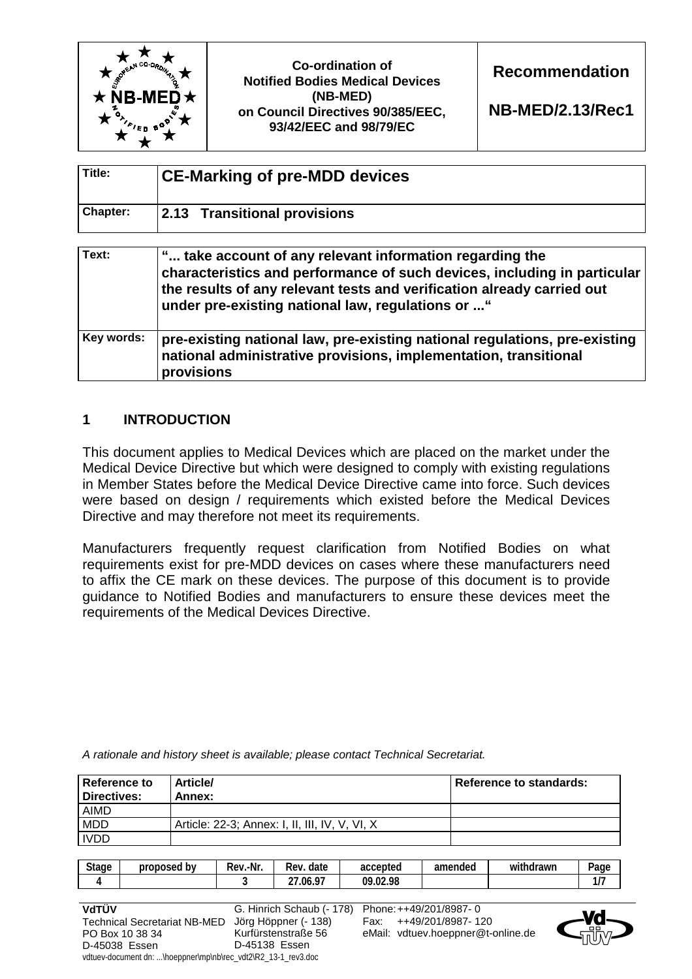

**Co-ordination of Notified Bodies Medical Devices (NB-MED) on Council Directives 90/385/EEC, 93/42/EEC and 98/79/EC** 

**Recommendation** 

**NB-MED/2.13/Rec1** 

| Title:   | <b>CE-Marking of pre-MDD devices</b> |  |  |  |  |  |
|----------|--------------------------------------|--|--|--|--|--|
| Chapter: | 2.13 Transitional provisions         |  |  |  |  |  |

| Text:      | " take account of any relevant information regarding the<br>characteristics and performance of such devices, including in particular<br>the results of any relevant tests and verification already carried out<br>under pre-existing national law, regulations or " |
|------------|---------------------------------------------------------------------------------------------------------------------------------------------------------------------------------------------------------------------------------------------------------------------|
| Key words: | pre-existing national law, pre-existing national regulations, pre-existing<br>national administrative provisions, implementation, transitional<br>provisions                                                                                                        |

# **1 INTRODUCTION**

This document applies to Medical Devices which are placed on the market under the Medical Device Directive but which were designed to comply with existing regulations in Member States before the Medical Device Directive came into force. Such devices were based on design / requirements which existed before the Medical Devices Directive and may therefore not meet its requirements.

Manufacturers frequently request clarification from Notified Bodies on what requirements exist for pre-MDD devices on cases where these manufacturers need to affix the CE mark on these devices. The purpose of this document is to provide guidance to Notified Bodies and manufacturers to ensure these devices meet the requirements of the Medical Devices Directive.

| <b>Reference to</b><br><b>Directives:</b> | <b>Article/</b><br>Annex:                      | Reference to standards: |
|-------------------------------------------|------------------------------------------------|-------------------------|
| <b>AIMD</b>                               |                                                |                         |
| <b>MDD</b>                                | Article: 22-3; Annex: I, II, III, IV, V, VI, X |                         |
| <b>IVDD</b>                               |                                                |                         |

*A rationale and history sheet is available; please contact Technical Secretariat.* 

| Stage                                                         | proposed by | Rev.-Nr.             | Rev. date                 | accepted | amended                            | withdrawn | Page |
|---------------------------------------------------------------|-------------|----------------------|---------------------------|----------|------------------------------------|-----------|------|
| 4                                                             |             |                      | 27.06.97                  | 09.02.98 |                                    |           | 1/7  |
|                                                               |             |                      |                           |          |                                    |           |      |
| VdTÜV                                                         |             |                      | G. Hinrich Schaub (- 178) |          | Phone: ++49/201/8987-0             |           |      |
| <b>Technical Secretariat NB-MED</b>                           |             | Jörg Höppner (- 138) |                           | Fax:     | ++49/201/8987-120                  |           | оõ   |
| PO Box 10 38 34                                               |             | Kurfürstenstraße 56  |                           |          | eMail: vdtuev.hoeppner@t-online.de |           |      |
| D-45038 Essen                                                 |             | D-45138 Essen        |                           |          |                                    |           |      |
| vdtuev-document dn: \hoeppner\mp\nb\rec_vdt2\R2_13-1_rev3.doc |             |                      |                           |          |                                    |           |      |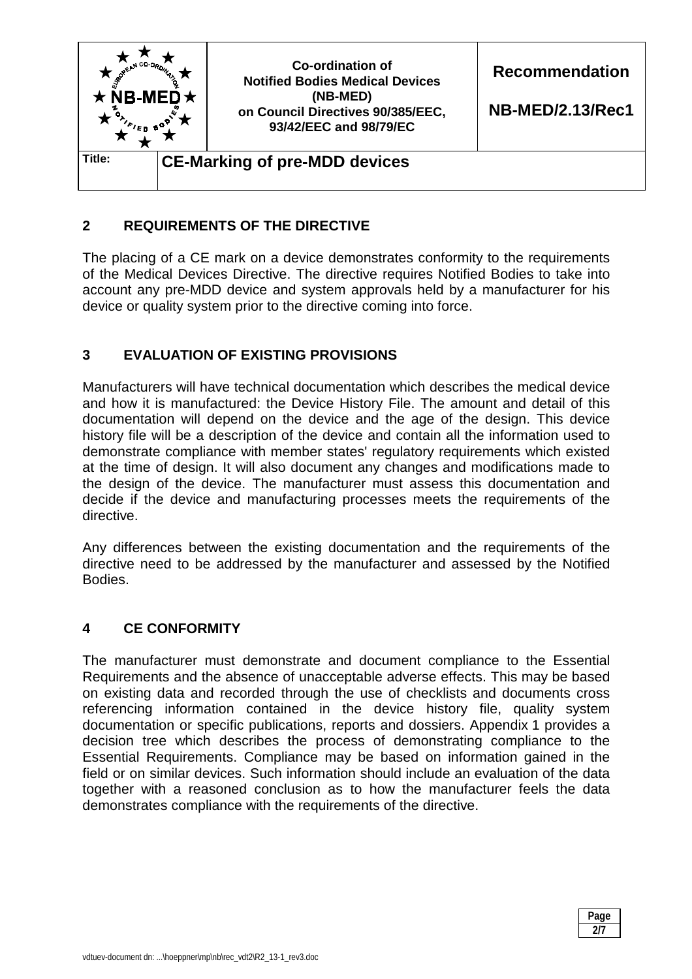

# **2 REQUIREMENTS OF THE DIRECTIVE**

The placing of a CE mark on a device demonstrates conformity to the requirements of the Medical Devices Directive. The directive requires Notified Bodies to take into account any pre-MDD device and system approvals held by a manufacturer for his device or quality system prior to the directive coming into force.

# **3 EVALUATION OF EXISTING PROVISIONS**

Manufacturers will have technical documentation which describes the medical device and how it is manufactured: the Device History File. The amount and detail of this documentation will depend on the device and the age of the design. This device history file will be a description of the device and contain all the information used to demonstrate compliance with member states' regulatory requirements which existed at the time of design. It will also document any changes and modifications made to the design of the device. The manufacturer must assess this documentation and decide if the device and manufacturing processes meets the requirements of the directive.

Any differences between the existing documentation and the requirements of the directive need to be addressed by the manufacturer and assessed by the Notified Bodies.

# **4 CE CONFORMITY**

The manufacturer must demonstrate and document compliance to the Essential Requirements and the absence of unacceptable adverse effects. This may be based on existing data and recorded through the use of checklists and documents cross referencing information contained in the device history file, quality system documentation or specific publications, reports and dossiers. Appendix 1 provides a decision tree which describes the process of demonstrating compliance to the Essential Requirements. Compliance may be based on information gained in the field or on similar devices. Such information should include an evaluation of the data together with a reasoned conclusion as to how the manufacturer feels the data demonstrates compliance with the requirements of the directive.

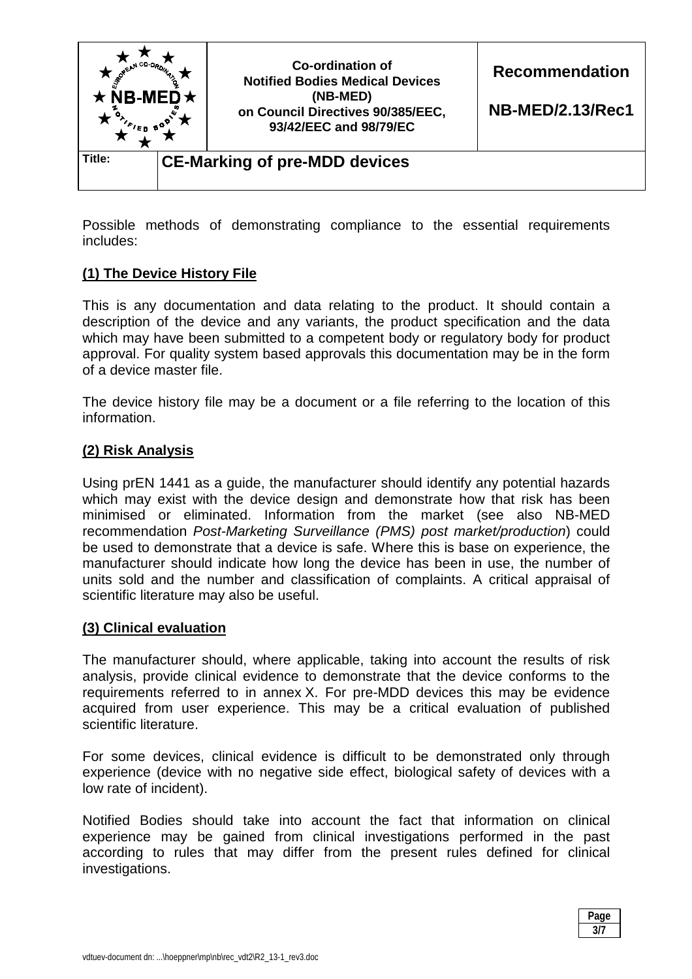

Possible methods of demonstrating compliance to the essential requirements includes:

# **(1) The Device History File**

This is any documentation and data relating to the product. It should contain a description of the device and any variants, the product specification and the data which may have been submitted to a competent body or regulatory body for product approval. For quality system based approvals this documentation may be in the form of a device master file.

The device history file may be a document or a file referring to the location of this information.

### **(2) Risk Analysis**

Using prEN 1441 as a guide, the manufacturer should identify any potential hazards which may exist with the device design and demonstrate how that risk has been minimised or eliminated. Information from the market (see also NB-MED recommendation *Post-Marketing Surveillance (PMS) post market/production*) could be used to demonstrate that a device is safe. Where this is base on experience, the manufacturer should indicate how long the device has been in use, the number of units sold and the number and classification of complaints. A critical appraisal of scientific literature may also be useful.

### **(3) Clinical evaluation**

The manufacturer should, where applicable, taking into account the results of risk analysis, provide clinical evidence to demonstrate that the device conforms to the requirements referred to in annex X. For pre-MDD devices this may be evidence acquired from user experience. This may be a critical evaluation of published scientific literature.

For some devices, clinical evidence is difficult to be demonstrated only through experience (device with no negative side effect, biological safety of devices with a low rate of incident).

Notified Bodies should take into account the fact that information on clinical experience may be gained from clinical investigations performed in the past according to rules that may differ from the present rules defined for clinical investigations.

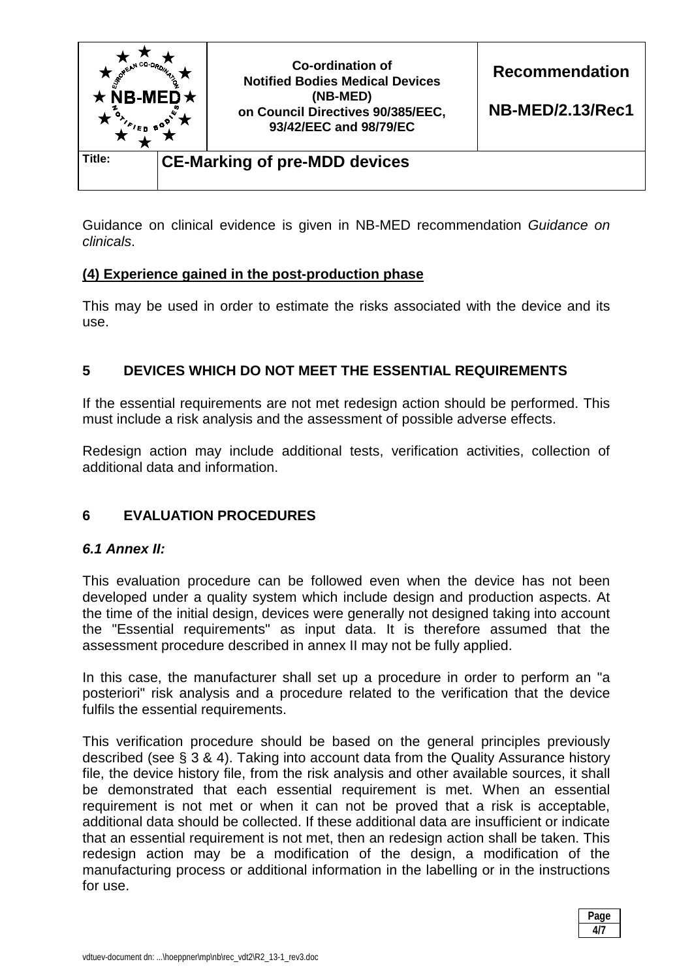

Guidance on clinical evidence is given in NB-MED recommendation *Guidance on clinicals*.

### **(4) Experience gained in the post-production phase**

This may be used in order to estimate the risks associated with the device and its use.

# **5 DEVICES WHICH DO NOT MEET THE ESSENTIAL REQUIREMENTS**

If the essential requirements are not met redesign action should be performed. This must include a risk analysis and the assessment of possible adverse effects.

Redesign action may include additional tests, verification activities, collection of additional data and information.

# **6 EVALUATION PROCEDURES**

### *6.1 Annex II:*

This evaluation procedure can be followed even when the device has not been developed under a quality system which include design and production aspects. At the time of the initial design, devices were generally not designed taking into account the "Essential requirements" as input data. It is therefore assumed that the assessment procedure described in annex II may not be fully applied.

In this case, the manufacturer shall set up a procedure in order to perform an "a posteriori" risk analysis and a procedure related to the verification that the device fulfils the essential requirements.

This verification procedure should be based on the general principles previously described (see § 3 & 4). Taking into account data from the Quality Assurance history file, the device history file, from the risk analysis and other available sources, it shall be demonstrated that each essential requirement is met. When an essential requirement is not met or when it can not be proved that a risk is acceptable, additional data should be collected. If these additional data are insufficient or indicate that an essential requirement is not met, then an redesign action shall be taken. This redesign action may be a modification of the design, a modification of the manufacturing process or additional information in the labelling or in the instructions for use.

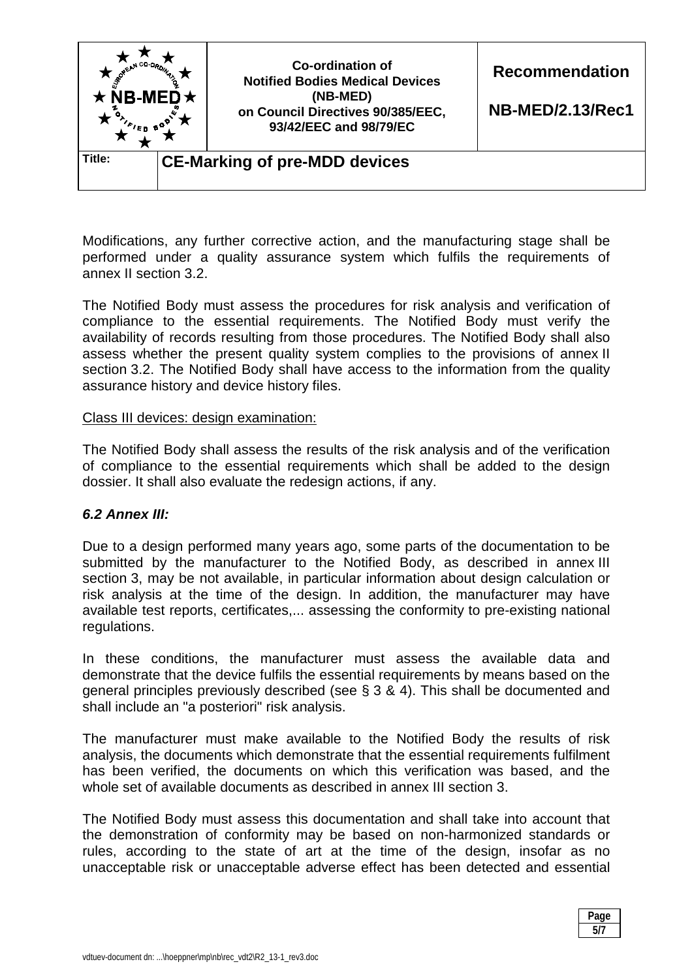

Modifications, any further corrective action, and the manufacturing stage shall be performed under a quality assurance system which fulfils the requirements of annex II section 3.2.

The Notified Body must assess the procedures for risk analysis and verification of compliance to the essential requirements. The Notified Body must verify the availability of records resulting from those procedures. The Notified Body shall also assess whether the present quality system complies to the provisions of annex II section 3.2. The Notified Body shall have access to the information from the quality assurance history and device history files.

#### Class III devices: design examination:

The Notified Body shall assess the results of the risk analysis and of the verification of compliance to the essential requirements which shall be added to the design dossier. It shall also evaluate the redesign actions, if any.

### *6.2 Annex III:*

Due to a design performed many years ago, some parts of the documentation to be submitted by the manufacturer to the Notified Body, as described in annex III section 3, may be not available, in particular information about design calculation or risk analysis at the time of the design. In addition, the manufacturer may have available test reports, certificates,... assessing the conformity to pre-existing national regulations.

In these conditions, the manufacturer must assess the available data and demonstrate that the device fulfils the essential requirements by means based on the general principles previously described (see § 3 & 4). This shall be documented and shall include an "a posteriori" risk analysis.

The manufacturer must make available to the Notified Body the results of risk analysis, the documents which demonstrate that the essential requirements fulfilment has been verified, the documents on which this verification was based, and the whole set of available documents as described in annex III section 3.

The Notified Body must assess this documentation and shall take into account that the demonstration of conformity may be based on non-harmonized standards or rules, according to the state of art at the time of the design, insofar as no unacceptable risk or unacceptable adverse effect has been detected and essential

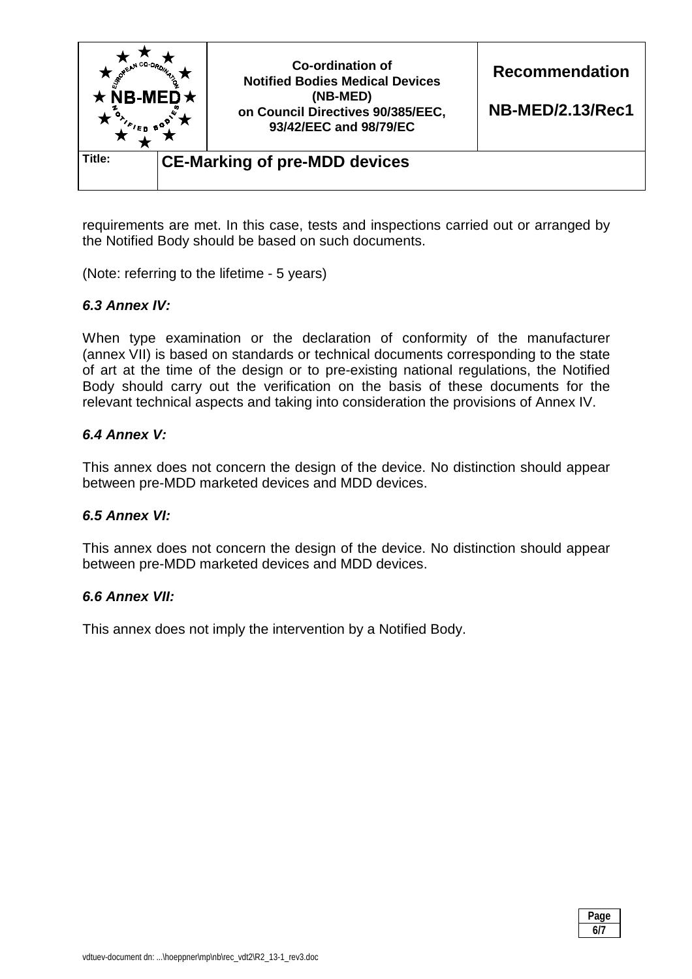

requirements are met. In this case, tests and inspections carried out or arranged by the Notified Body should be based on such documents.

(Note: referring to the lifetime - 5 years)

### *6.3 Annex IV:*

When type examination or the declaration of conformity of the manufacturer (annex VII) is based on standards or technical documents corresponding to the state of art at the time of the design or to pre-existing national regulations, the Notified Body should carry out the verification on the basis of these documents for the relevant technical aspects and taking into consideration the provisions of Annex IV.

### *6.4 Annex V:*

This annex does not concern the design of the device. No distinction should appear between pre-MDD marketed devices and MDD devices.

### *6.5 Annex VI:*

This annex does not concern the design of the device. No distinction should appear between pre-MDD marketed devices and MDD devices.

### *6.6 Annex VII:*

This annex does not imply the intervention by a Notified Body.

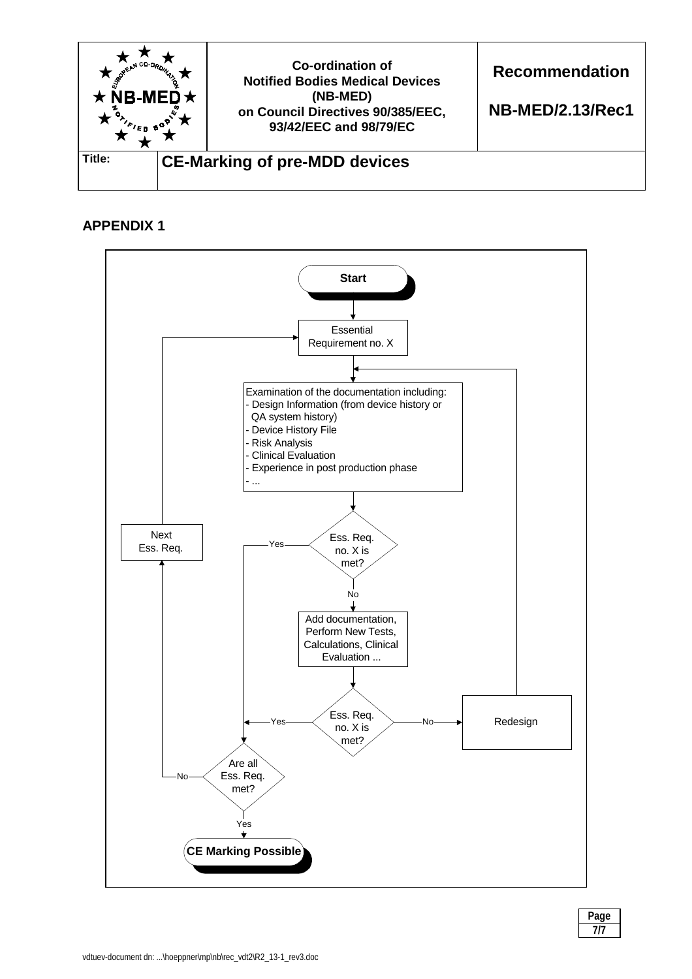

# **APPENDIX 1**



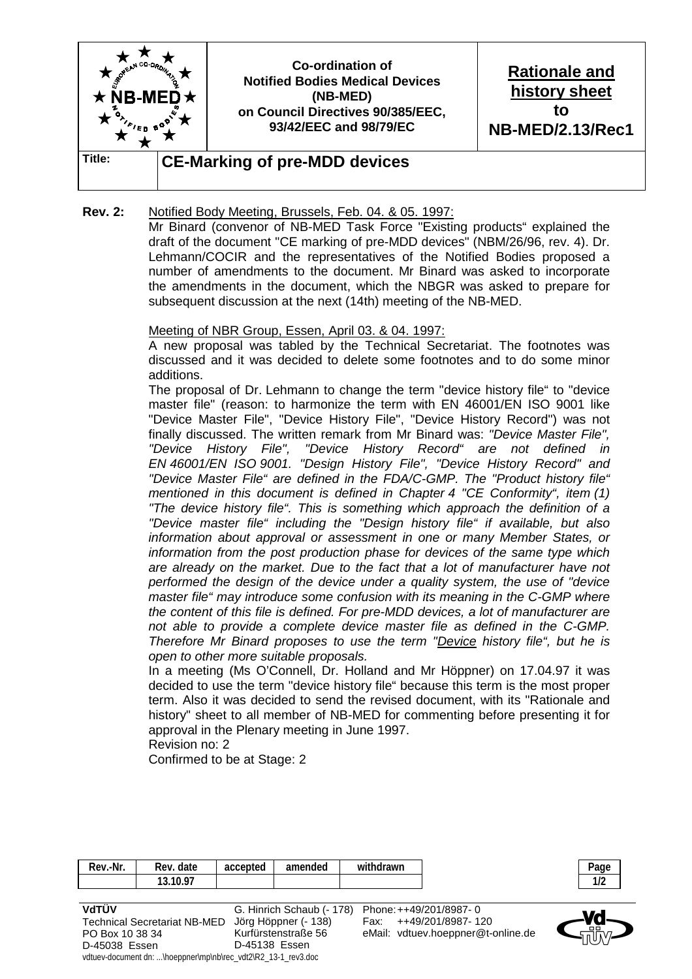

#### **Rev. 2:** Notified Body Meeting, Brussels, Feb. 04. & 05. 1997:

 Mr Binard (convenor of NB-MED Task Force "Existing products" explained the draft of the document "CE marking of pre-MDD devices" (NBM/26/96, rev. 4). Dr. Lehmann/COCIR and the representatives of the Notified Bodies proposed a number of amendments to the document. Mr Binard was asked to incorporate the amendments in the document, which the NBGR was asked to prepare for subsequent discussion at the next (14th) meeting of the NB-MED.

#### Meeting of NBR Group, Essen, April 03. & 04. 1997:

 A new proposal was tabled by the Technical Secretariat. The footnotes was discussed and it was decided to delete some footnotes and to do some minor additions.

 The proposal of Dr. Lehmann to change the term "device history file" to "device master file" (reason: to harmonize the term with EN 46001/EN ISO 9001 like "Device Master File", "Device History File", "Device History Record") was not finally discussed. The written remark from Mr Binard was: *"Device Master File", "Device History File", "Device History Record" are not defined in EN 46001/EN ISO 9001. "Design History File", "Device History Record" and "Device Master File" are defined in the FDA/C-GMP. The "Product history file" mentioned in this document is defined in Chapter 4 "CE Conformity", item (1) "The device history file". This is something which approach the definition of a "Device master file" including the "Design history file" if available, but also information about approval or assessment in one or many Member States, or information from the post production phase for devices of the same type which are already on the market. Due to the fact that a lot of manufacturer have not performed the design of the device under a quality system, the use of "device master file" may introduce some confusion with its meaning in the C-GMP where the content of this file is defined. For pre-MDD devices, a lot of manufacturer are not able to provide a complete device master file as defined in the C-GMP. Therefore Mr Binard proposes to use the term "Device history file", but he is open to other more suitable proposals.*

 In a meeting (Ms O'Connell, Dr. Holland and Mr Höppner) on 17.04.97 it was decided to use the term "device history file" because this term is the most proper term. Also it was decided to send the revised document, with its "Rationale and history" sheet to all member of NB-MED for commenting before presenting it for approval in the Plenary meeting in June 1997.

Revision no: 2

Confirmed to be at Stage: 2

| Rev.-Nr.        | Rev. date                                                     | accepted      | amended                   | withdrawn |                                    | Page |
|-----------------|---------------------------------------------------------------|---------------|---------------------------|-----------|------------------------------------|------|
|                 | 13.10.97                                                      |               |                           |           |                                    | 1/2  |
|                 |                                                               |               |                           |           |                                    |      |
| VdTÜV           |                                                               |               | G. Hinrich Schaub (- 178) |           | Phone: ++49/201/8987-0             |      |
|                 | <b>Technical Secretariat NB-MED</b>                           |               | Jörg Höppner (- 138)      | Fax:      | ++49/201/8987-120                  |      |
| PO Box 10 38 34 |                                                               |               | Kurfürstenstraße 56       |           | eMail: vdtuev.hoeppner@t-online.de |      |
| D-45038 Essen   |                                                               | D-45138 Essen |                           |           |                                    |      |
|                 | vdtuev-document dn: \hoeppner\mp\nb\rec_vdt2\R2_13-1_rev3.doc |               |                           |           |                                    |      |